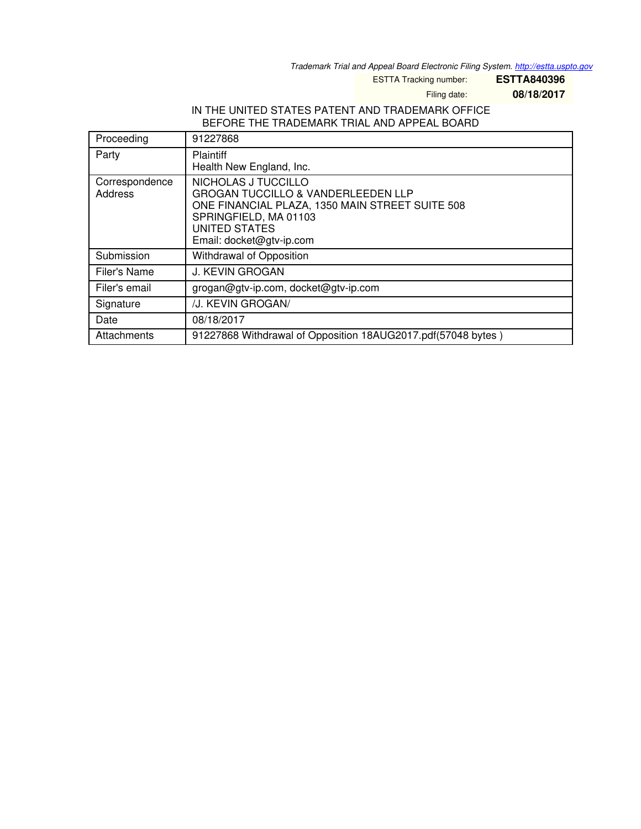*Trademark Trial and Appeal Board Electronic Filing System. <http://estta.uspto.gov>*

ESTTA Tracking number: **ESTTA840396**

Filing date: **08/18/2017**

### IN THE UNITED STATES PATENT AND TRADEMARK OFFICE BEFORE THE TRADEMARK TRIAL AND APPEAL BOARD

| Proceeding                | 91227868                                                                                                                                                                                             |
|---------------------------|------------------------------------------------------------------------------------------------------------------------------------------------------------------------------------------------------|
| Party                     | Plaintiff<br>Health New England, Inc.                                                                                                                                                                |
| Correspondence<br>Address | NICHOLAS J TUCCILLO<br><b>GROGAN TUCCILLO &amp; VANDERLEEDEN LLP</b><br>ONE FINANCIAL PLAZA, 1350 MAIN STREET SUITE 508<br>SPRINGFIELD, MA 01103<br><b>UNITED STATES</b><br>Email: docket@gtv-ip.com |
| Submission                | Withdrawal of Opposition                                                                                                                                                                             |
| Filer's Name              | <b>J. KEVIN GROGAN</b>                                                                                                                                                                               |
| Filer's email             | grogan@gtv-ip.com, docket@gtv-ip.com                                                                                                                                                                 |
| Signature                 | /J. KEVIN GROGAN/                                                                                                                                                                                    |
| Date                      | 08/18/2017                                                                                                                                                                                           |
| Attachments               | 91227868 Withdrawal of Opposition 18AUG2017.pdf(57048 bytes)                                                                                                                                         |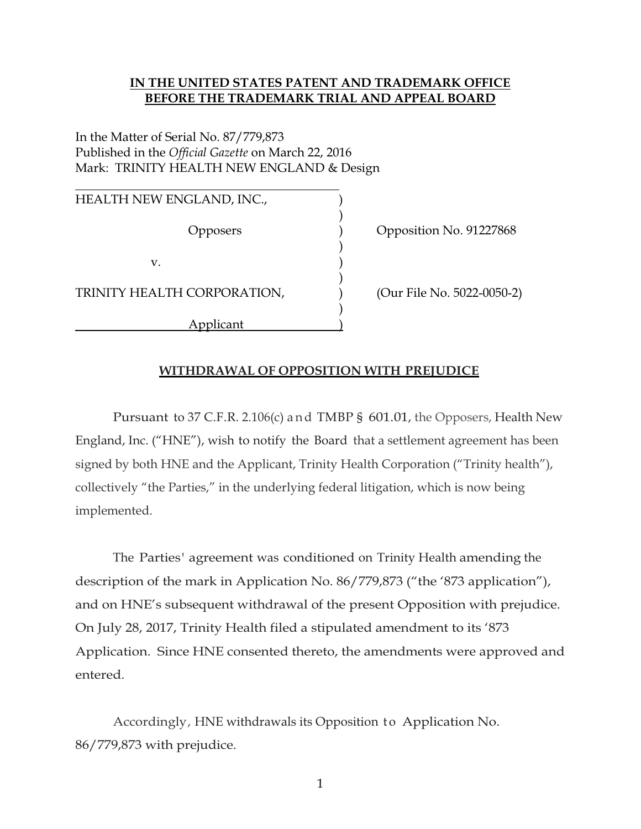### IN THE UNITED STATES PATENT AND TRADEMARK OFFICE BEFORE THE TRADEMARK TRIAL AND APPEAL BOARD

# In the Matter of Serial No. 87/779,873 Published in the Official Gazette on March 22, 2016 Mark: TRINITY HEALTH NEW ENGLAND & Design

 $\overline{a}$ HEALTH NEW ENGLAND, INC.,  $)$  $)$  $\mathbf{v}$ .  $\qquad \qquad \qquad$  )  $)$ TRINITY HEALTH CORPORATION,  $(Our File No. 5022-0050-2)$  $)$ Applicant )

Opposers ) Opposition No. 91227868

### WITHDRAWAL OF OPPOSITION WITH PREJUDICE

 Pursuant to 37 C.F.R. 2.106(c) a n d TMBP § 601.01, the Opposers, Health New England, Inc. ("HNE"), wish to notify the Board that a settlement agreement has been signed by both HNE and the Applicant, Trinity Health Corporation ("Trinity health"), collectively "the Parties," in the underlying federal litigation, which is now being implemented.

 The Parties' agreement was conditioned on Trinity Health amending the description of the mark in Application No. 86/779,873 ("the '873 application"), and on HNE's subsequent withdrawal of the present Opposition with prejudice. On July 28, 2017, Trinity Health filed a stipulated amendment to its '873 Application. Since HNE consented thereto, the amendments were approved and entered.

Accordingly, HNE withdrawals its Opposition to Application No. 86/779,873 with prejudice.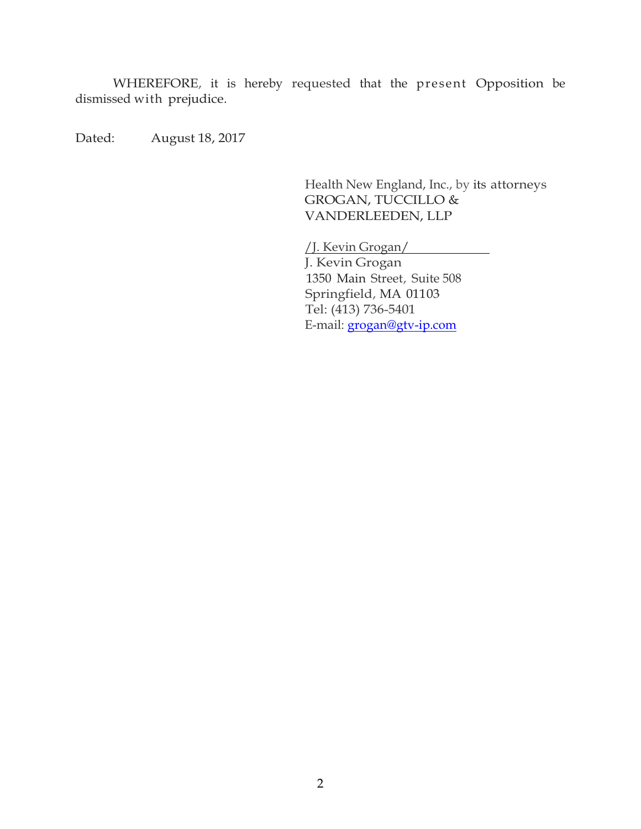WHEREFORE, it is hereby requested that the present Opposition be dismissed with prejudice.

Dated: August 18, 2017

Health New England, Inc., by its attorneys GROGAN, TUCCILLO & VANDERLEEDEN, LLP

/J. Kevin Grogan/

J. Kevin Grogan 1350 Main Street, Suite 508 Springfield, MA 01103 Tel: (413) 736-5401 E-mail: grogan@gtv-ip.com